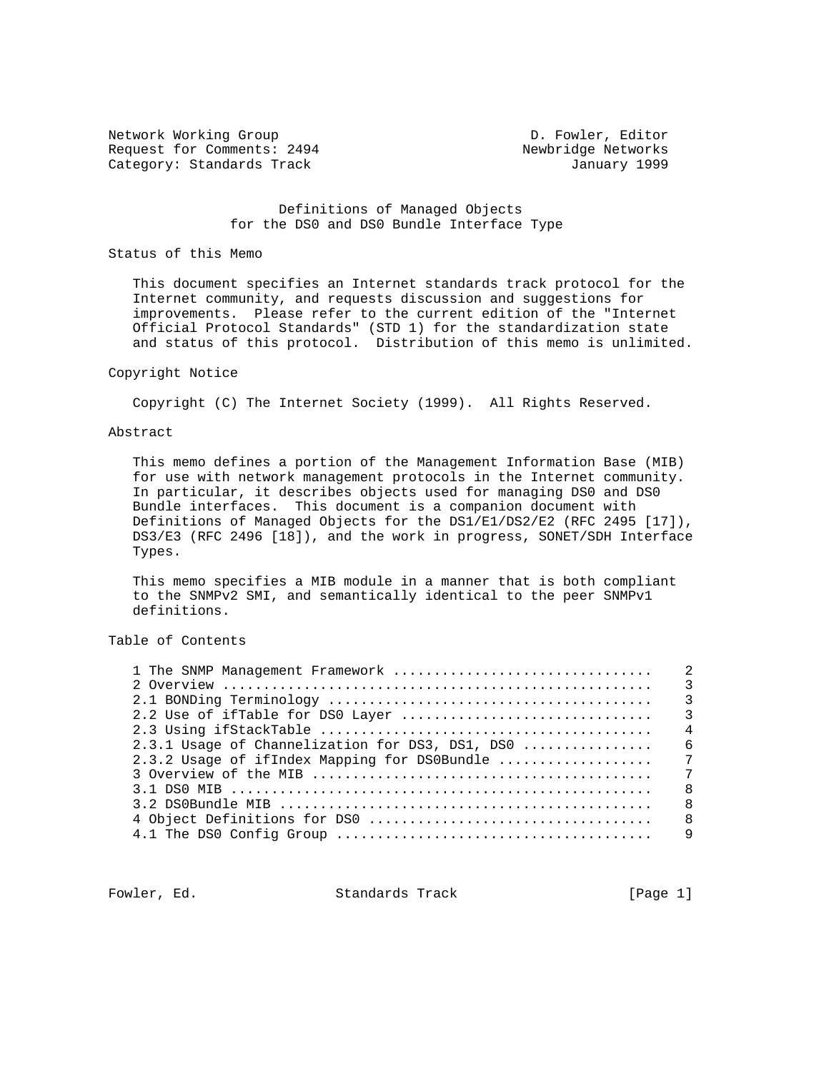Network Working Group D. Fowler, Editor Request for Comments: 2494 Newbridge Networks Category: Standards Track January 1999

## Definitions of Managed Objects for the DS0 and DS0 Bundle Interface Type

#### Status of this Memo

 This document specifies an Internet standards track protocol for the Internet community, and requests discussion and suggestions for improvements. Please refer to the current edition of the "Internet Official Protocol Standards" (STD 1) for the standardization state and status of this protocol. Distribution of this memo is unlimited.

#### Copyright Notice

Copyright (C) The Internet Society (1999). All Rights Reserved.

### Abstract

 This memo defines a portion of the Management Information Base (MIB) for use with network management protocols in the Internet community. In particular, it describes objects used for managing DS0 and DS0 Bundle interfaces. This document is a companion document with Definitions of Managed Objects for the DS1/E1/DS2/E2 (RFC 2495 [17]), DS3/E3 (RFC 2496 [18]), and the work in progress, SONET/SDH Interface Types.

 This memo specifies a MIB module in a manner that is both compliant to the SNMPv2 SMI, and semantically identical to the peer SNMPv1 definitions.

Table of Contents

|                                                 | $\overline{\mathbf{3}}$ |
|-------------------------------------------------|-------------------------|
|                                                 | $\overline{3}$          |
| 2.2 Use of ifTable for DS0 Layer                | $\overline{\mathbf{3}}$ |
|                                                 | $\overline{4}$          |
| 2.3.1 Usage of Channelization for DS3, DS1, DS0 | 6                       |
| 2.3.2 Usage of ifIndex Mapping for DS0Bundle    | 7                       |
|                                                 | 7                       |
|                                                 | $\mathsf{R}$            |
|                                                 | $\mathsf{R}$            |
|                                                 | 8                       |
|                                                 | 9                       |
|                                                 |                         |

Fowler, Ed. Standards Track [Page 1]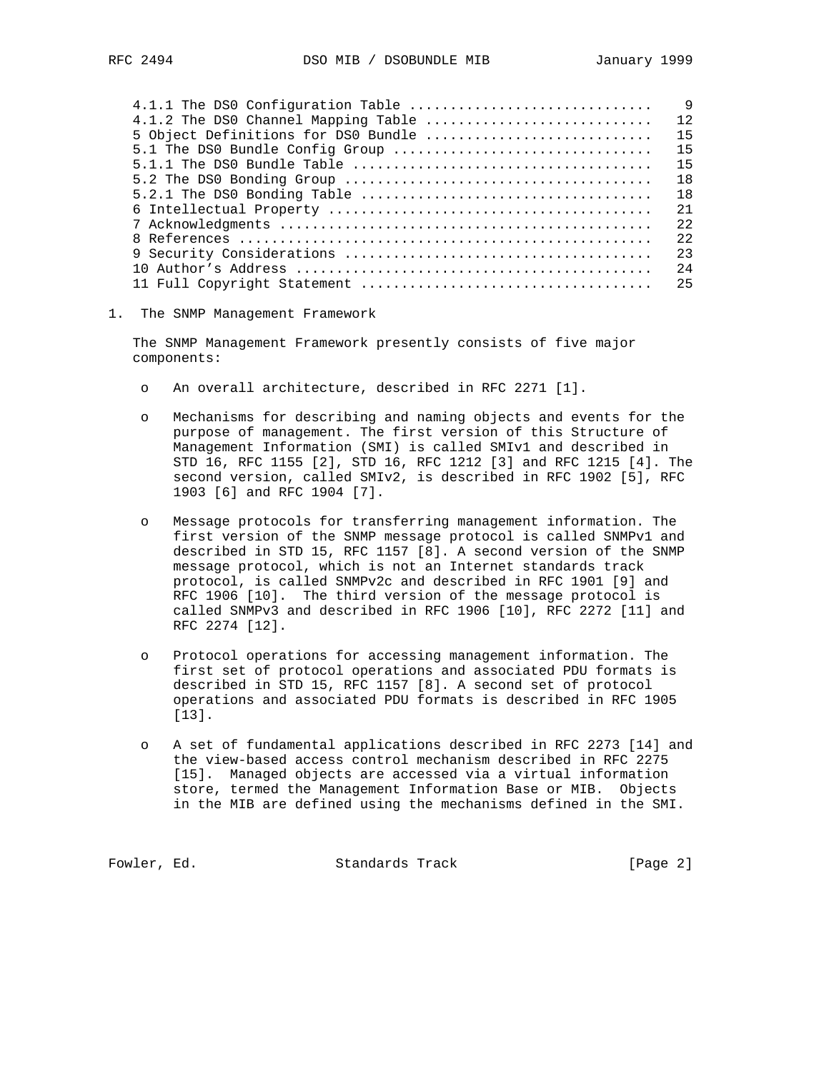| 4.1.1 The DS0 Configuration Table   | $\mathsf{Q}$ |
|-------------------------------------|--------------|
| 4.1.2 The DS0 Channel Mapping Table | 12           |
| 5 Object Definitions for DS0 Bundle | 15           |
| 5.1 The DS0 Bundle Config Group     | 15           |
|                                     | 15           |
|                                     | 18           |
|                                     | 18           |
|                                     | 2.1          |
|                                     | 2.2.         |
|                                     | 2.2          |
|                                     | 23           |
|                                     | 2.4          |
|                                     | 25           |
|                                     |              |

1. The SNMP Management Framework

 The SNMP Management Framework presently consists of five major components:

- o An overall architecture, described in RFC 2271 [1].
- o Mechanisms for describing and naming objects and events for the purpose of management. The first version of this Structure of Management Information (SMI) is called SMIv1 and described in STD 16, RFC 1155 [2], STD 16, RFC 1212 [3] and RFC 1215 [4]. The second version, called SMIv2, is described in RFC 1902 [5], RFC 1903 [6] and RFC 1904 [7].
- o Message protocols for transferring management information. The first version of the SNMP message protocol is called SNMPv1 and described in STD 15, RFC 1157 [8]. A second version of the SNMP message protocol, which is not an Internet standards track protocol, is called SNMPv2c and described in RFC 1901 [9] and RFC 1906 [10]. The third version of the message protocol is called SNMPv3 and described in RFC 1906 [10], RFC 2272 [11] and RFC 2274 [12].
- o Protocol operations for accessing management information. The first set of protocol operations and associated PDU formats is described in STD 15, RFC 1157 [8]. A second set of protocol operations and associated PDU formats is described in RFC 1905 [13].
- A set of fundamental applications described in RFC 2273 [14] and the view-based access control mechanism described in RFC 2275 [15]. Managed objects are accessed via a virtual information store, termed the Management Information Base or MIB. Objects in the MIB are defined using the mechanisms defined in the SMI.

Fowler, Ed. Standards Track [Page 2]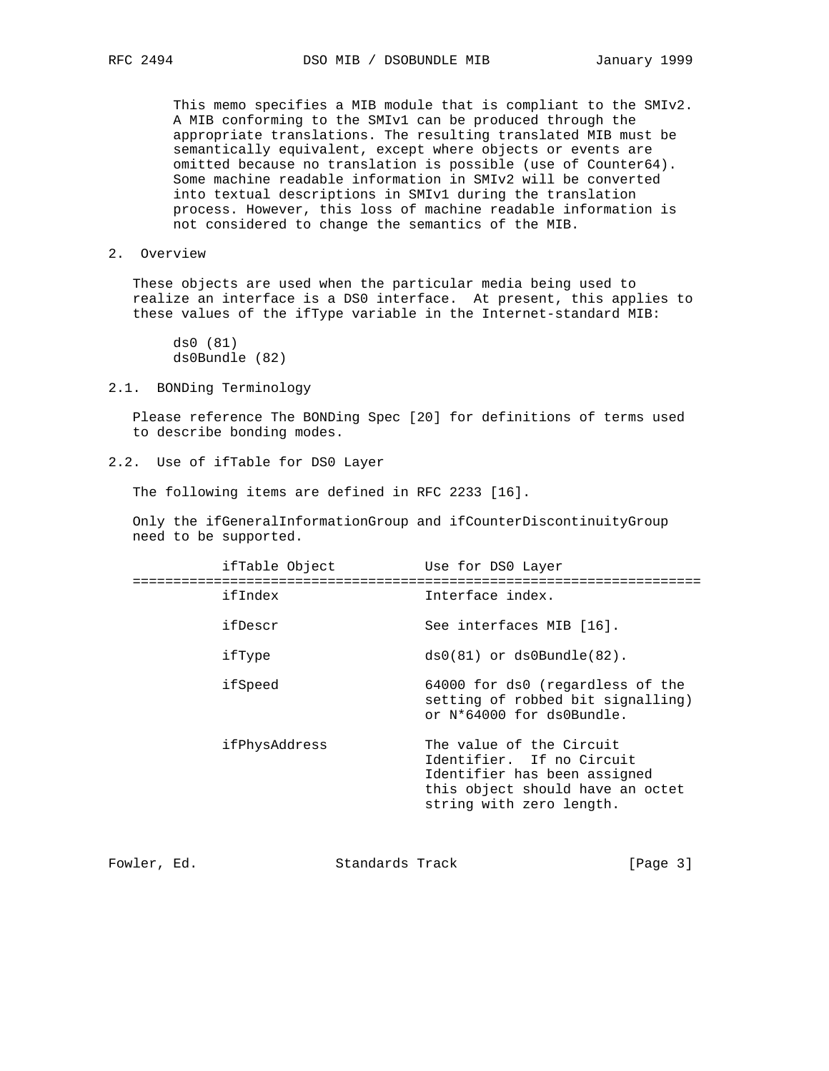This memo specifies a MIB module that is compliant to the SMIv2. A MIB conforming to the SMIv1 can be produced through the appropriate translations. The resulting translated MIB must be semantically equivalent, except where objects or events are omitted because no translation is possible (use of Counter64). Some machine readable information in SMIv2 will be converted into textual descriptions in SMIv1 during the translation process. However, this loss of machine readable information is not considered to change the semantics of the MIB.

2. Overview

 These objects are used when the particular media being used to realize an interface is a DS0 interface. At present, this applies to these values of the ifType variable in the Internet-standard MIB:

 ds0 (81) ds0Bundle (82)

2.1. BONDing Terminology

 Please reference The BONDing Spec [20] for definitions of terms used to describe bonding modes.

2.2. Use of ifTable for DS0 Layer

The following items are defined in RFC 2233 [16].

 Only the ifGeneralInformationGroup and ifCounterDiscontinuityGroup need to be supported.

| ifTable Object | Use for DS0 Layer                                                                                                                                     |
|----------------|-------------------------------------------------------------------------------------------------------------------------------------------------------|
| ifIndex        | Interface index.                                                                                                                                      |
| ifDescr        | See interfaces MIB [16].                                                                                                                              |
| ifType         | $ds0(81)$ or $ds0Bundle(82)$ .                                                                                                                        |
| ifSpeed        | 64000 for ds0 (regardless of the<br>setting of robbed bit signalling)<br>or N*64000 for ds0Bundle.                                                    |
| ifPhysAddress  | The value of the Circuit<br>Identifier. If no Circuit<br>Identifier has been assigned<br>this object should have an octet<br>string with zero length. |

| [Page $3$ ]<br>Standards Track<br>Fowler, Ed. |  |  |  |
|-----------------------------------------------|--|--|--|
|-----------------------------------------------|--|--|--|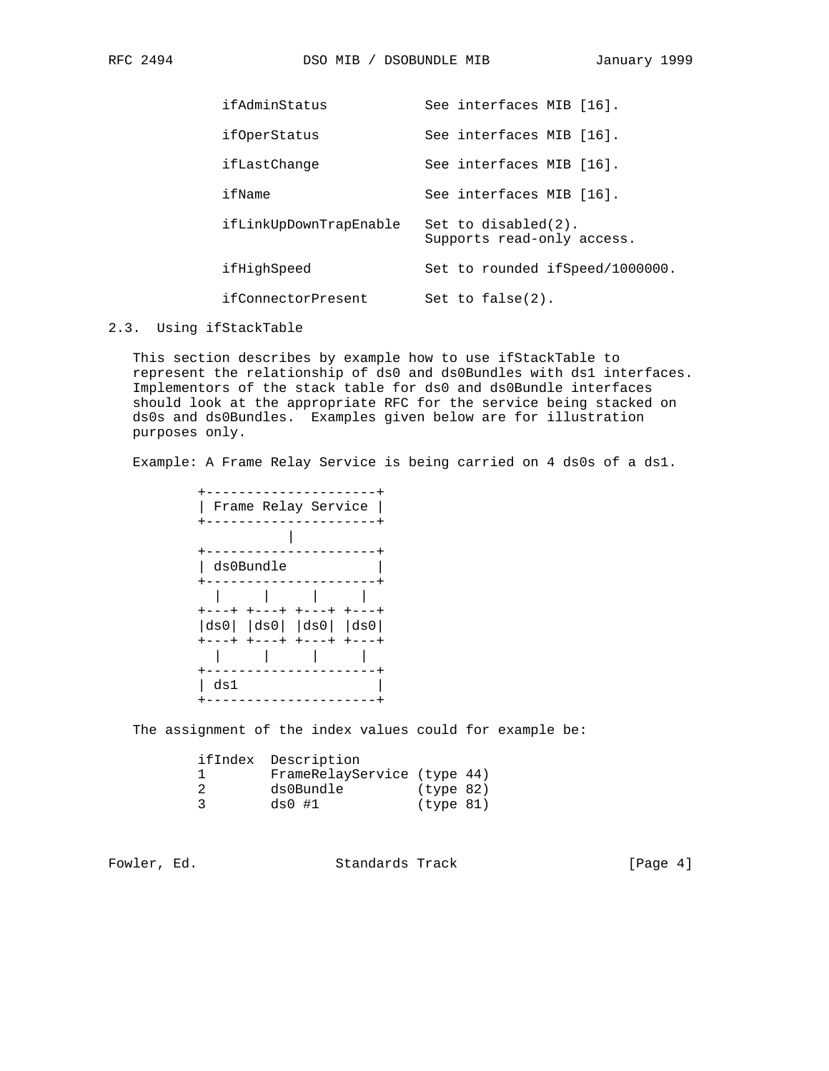| ifAdminStatus          | See interfaces MIB [16].                          |
|------------------------|---------------------------------------------------|
| ifOperStatus           | See interfaces MIB [16].                          |
| ifLastChange           | See interfaces MIB [16].                          |
| ifName                 | See interfaces MIB [16].                          |
| ifLinkUpDownTrapEnable | Set to disabled(2).<br>Supports read-only access. |
| ifHighSpeed            | Set to rounded ifSpeed/1000000.                   |
| ifConnectorPresent     | Set to $false(2)$ .                               |

#### 2.3. Using ifStackTable

 This section describes by example how to use ifStackTable to represent the relationship of ds0 and ds0Bundles with ds1 interfaces. Implementors of the stack table for ds0 and ds0Bundle interfaces should look at the appropriate RFC for the service being stacked on ds0s and ds0Bundles. Examples given below are for illustration purposes only.

Example: A Frame Relay Service is being carried on 4 ds0s of a ds1.

|     | Frame Relay Service                                                     |             |             |
|-----|-------------------------------------------------------------------------|-------------|-------------|
|     |                                                                         |             |             |
|     |                                                                         |             |             |
|     | ds0Bundle                                                               |             |             |
|     |                                                                         |             |             |
|     |                                                                         |             |             |
|     | +---+ +---+                                                             | $+ - - - +$ | $+ - - - +$ |
|     | $\vert ds0 \vert$ $\vert ds0 \vert$ $\vert ds0 \vert$ $\vert ds0 \vert$ |             |             |
|     | $+ - - - +$ $+ - - - +$                                                 |             | $+---+$     |
|     |                                                                         |             |             |
|     |                                                                         |             |             |
| ds1 |                                                                         |             |             |
|     |                                                                         |             |             |

The assignment of the index values could for example be:

| ifIndex Description |           |                             |
|---------------------|-----------|-----------------------------|
|                     |           |                             |
| ds0Bundle           | (type 82) |                             |
| $ds0$ #1            | (type 81) |                             |
|                     |           | FrameRelayService (type 44) |

Fowler, Ed. Standards Track [Page 4]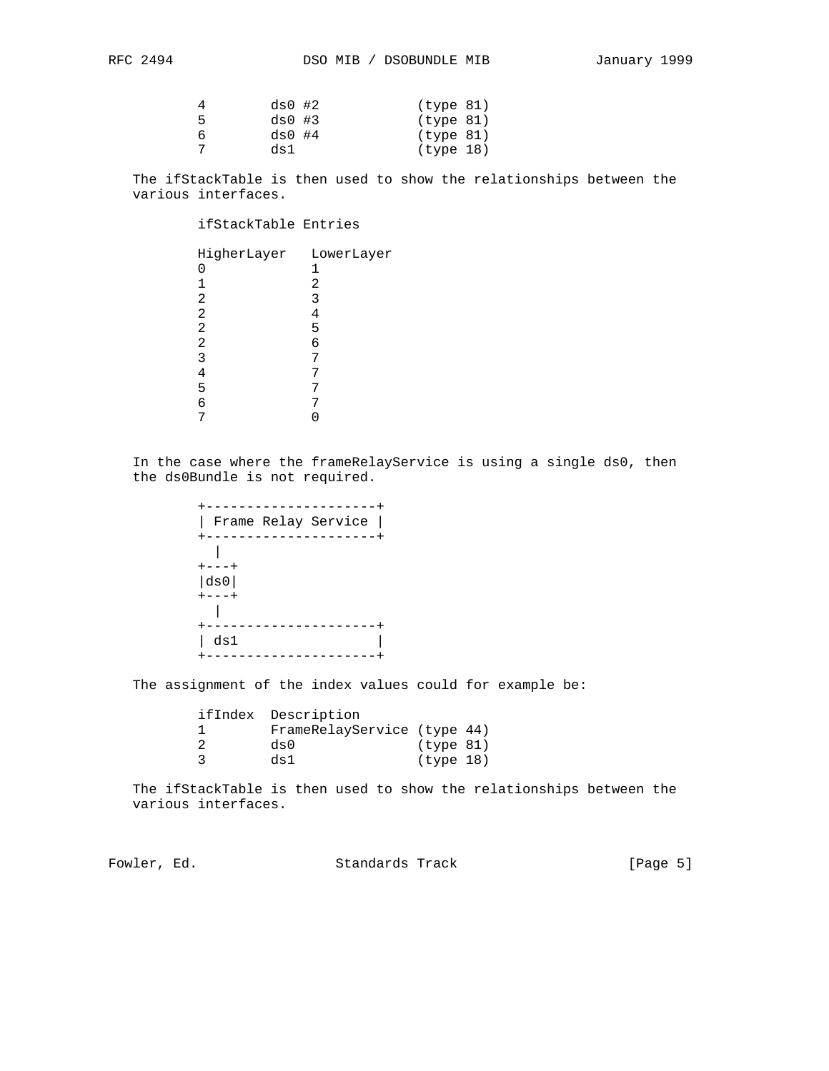|   | $ds0$ #2 | (type 81) |  |
|---|----------|-----------|--|
| 5 | $ds0$ #3 | (type 81) |  |
| 6 | $ds0$ #4 | (type 81) |  |
|   | ds1      | (type 18) |  |

 The ifStackTable is then used to show the relationships between the various interfaces.

# ifStackTable Entries

| HigherLayer LowerLayer |   |
|------------------------|---|
|                        | 1 |
|                        | 2 |
| 2                      | 3 |
| 2                      | 4 |
| 2                      | 5 |
| 2                      | 6 |
| 3                      |   |
|                        |   |
| 5                      |   |
| 6                      |   |
|                        |   |

 In the case where the frameRelayService is using a single ds0, then the ds0Bundle is not required.

| Frame Relay Service |
|---------------------|
|                     |
| ---+                |
| ds0                 |
|                     |
|                     |
|                     |
| ds1                 |
|                     |

The assignment of the index values could for example be:

| ifIndex Description         |           |  |
|-----------------------------|-----------|--|
| FrameRelayService (type 44) |           |  |
| ds0                         | (type 81) |  |
| ds1                         | (type 18) |  |

 The ifStackTable is then used to show the relationships between the various interfaces.

Fowler, Ed. Standards Track [Page 5]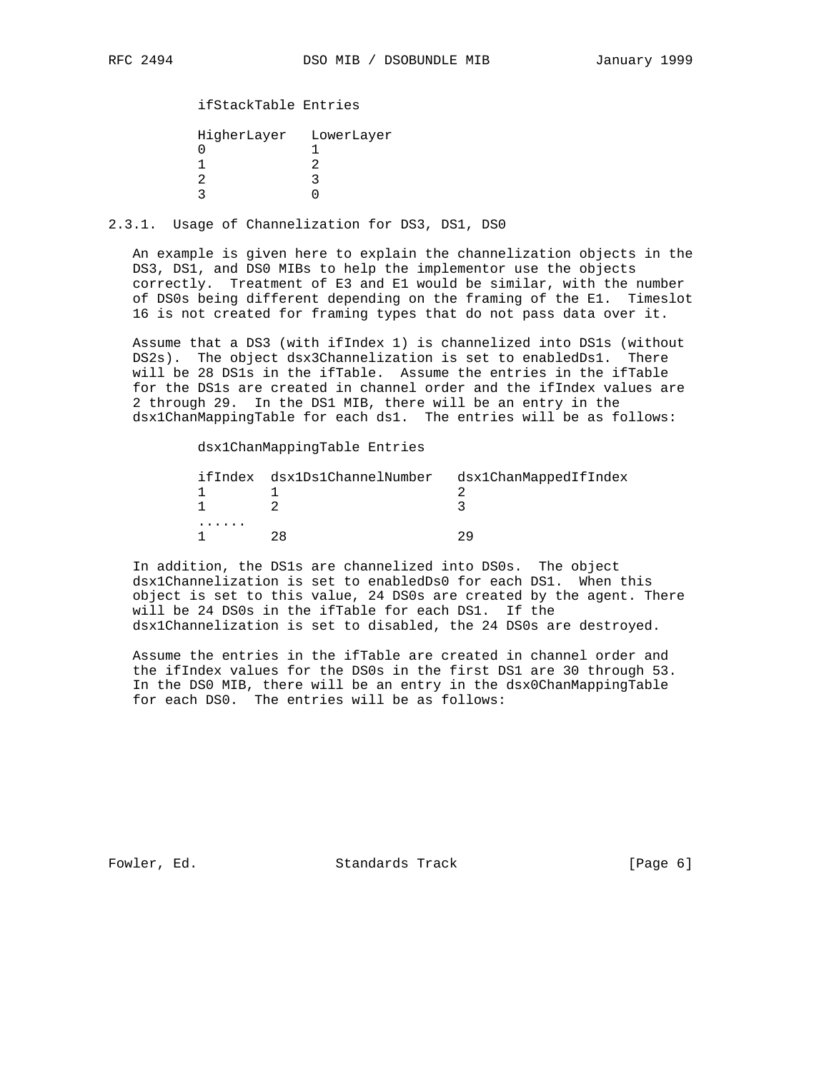# ifStackTable Entries

| HigherLayer LowerLayer |
|------------------------|
|                        |
|                        |
|                        |
|                        |

## 2.3.1. Usage of Channelization for DS3, DS1, DS0

 An example is given here to explain the channelization objects in the DS3, DS1, and DS0 MIBs to help the implementor use the objects correctly. Treatment of E3 and E1 would be similar, with the number of DS0s being different depending on the framing of the E1. Timeslot 16 is not created for framing types that do not pass data over it.

 Assume that a DS3 (with ifIndex 1) is channelized into DS1s (without DS2s). The object dsx3Channelization is set to enabledDs1. There will be 28 DS1s in the ifTable. Assume the entries in the ifTable for the DS1s are created in channel order and the ifIndex values are 2 through 29. In the DS1 MIB, there will be an entry in the dsx1ChanMappingTable for each ds1. The entries will be as follows:

dsx1ChanMappingTable Entries

|   | ifIndex dsx1Ds1ChannelNumber dsx1ChanMappedIfIndex |
|---|----------------------------------------------------|
|   |                                                    |
|   |                                                    |
| . |                                                    |
|   |                                                    |

 In addition, the DS1s are channelized into DS0s. The object dsx1Channelization is set to enabledDs0 for each DS1. When this object is set to this value, 24 DS0s are created by the agent. There will be 24 DS0s in the ifTable for each DS1. If the dsx1Channelization is set to disabled, the 24 DS0s are destroyed.

 Assume the entries in the ifTable are created in channel order and the ifIndex values for the DS0s in the first DS1 are 30 through 53. In the DS0 MIB, there will be an entry in the dsx0ChanMappingTable for each DS0. The entries will be as follows:

Fowler, Ed. Standards Track [Page 6]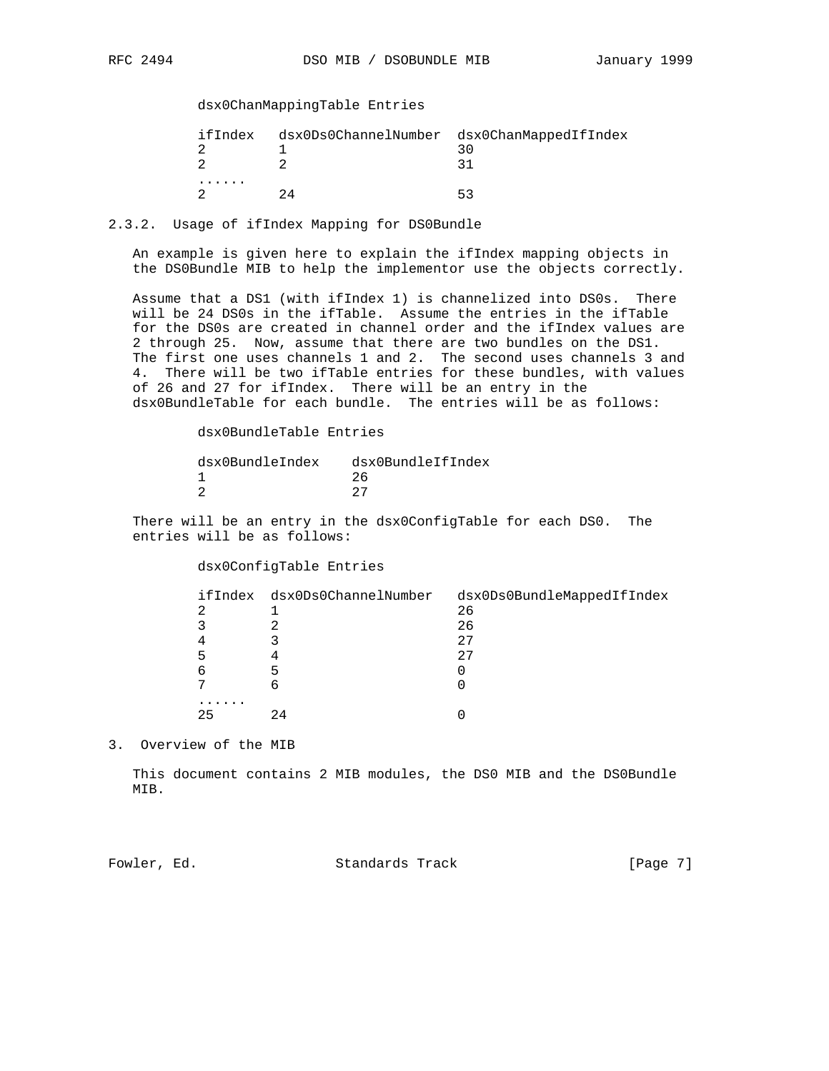# dsx0ChanMappingTable Entries

| ifIndex | dsx0Ds0ChannelNumber dsx0ChanMappedIfIndex |
|---------|--------------------------------------------|
|         |                                            |
| .       | ь.                                         |

2.3.2. Usage of ifIndex Mapping for DS0Bundle

 An example is given here to explain the ifIndex mapping objects in the DS0Bundle MIB to help the implementor use the objects correctly.

 Assume that a DS1 (with ifIndex 1) is channelized into DS0s. There will be 24 DS0s in the ifTable. Assume the entries in the ifTable for the DS0s are created in channel order and the ifIndex values are 2 through 25. Now, assume that there are two bundles on the DS1. The first one uses channels 1 and 2. The second uses channels 3 and 4. There will be two ifTable entries for these bundles, with values of 26 and 27 for ifIndex. There will be an entry in the dsx0BundleTable for each bundle. The entries will be as follows:

dsx0BundleTable Entries

| dsx0BundleIndex | dsx0BundleIfIndex |
|-----------------|-------------------|
|                 | 26                |
|                 | クワ                |

 There will be an entry in the dsx0ConfigTable for each DS0. The entries will be as follows:

dsx0ConfigTable Entries

|    | ifIndex dsx0Ds0ChannelNumber | dsx0Ds0BundleMappedIfIndex |
|----|------------------------------|----------------------------|
|    |                              | 26                         |
|    |                              | 26                         |
|    |                              | 2.7                        |
| ר  |                              | 27                         |
| ь  |                              |                            |
|    |                              |                            |
|    |                              |                            |
| 25 | 24                           |                            |

3. Overview of the MIB

 This document contains 2 MIB modules, the DS0 MIB and the DS0Bundle MIB.

Fowler, Ed. Standards Track [Page 7]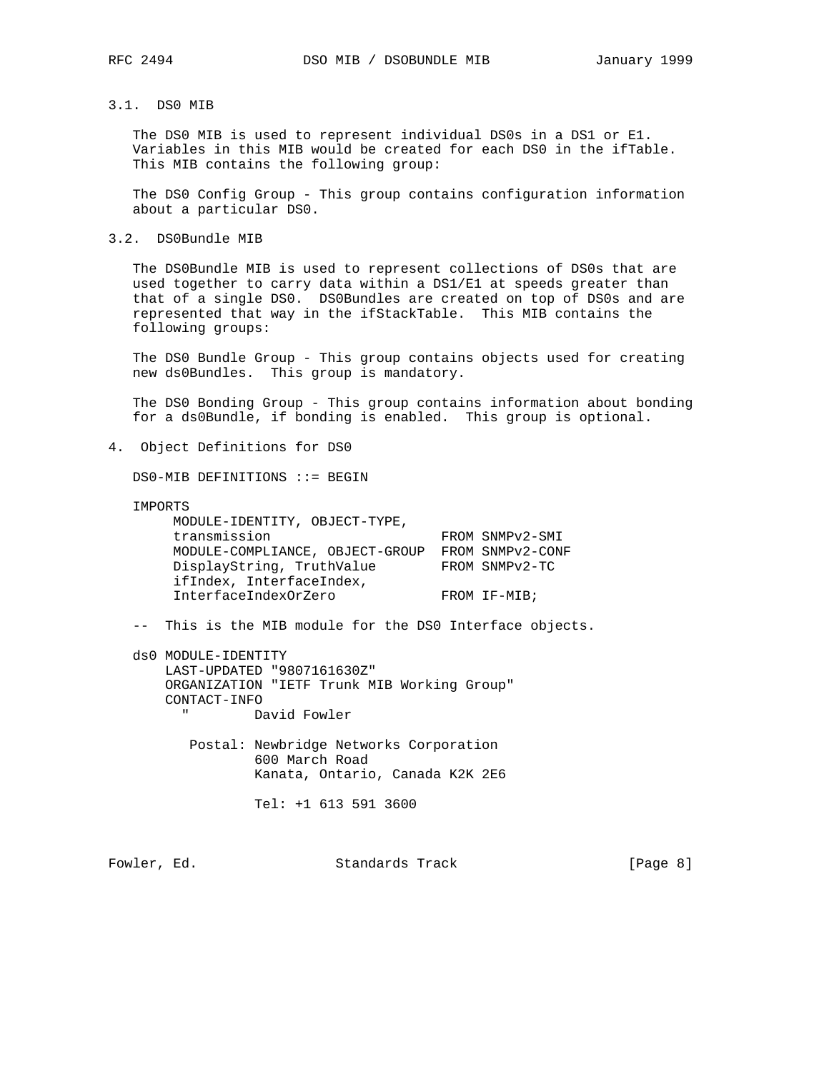# 3.1. DS0 MIB

 The DS0 MIB is used to represent individual DS0s in a DS1 or E1. Variables in this MIB would be created for each DS0 in the ifTable. This MIB contains the following group:

 The DS0 Config Group - This group contains configuration information about a particular DS0.

3.2. DS0Bundle MIB

 The DS0Bundle MIB is used to represent collections of DS0s that are used together to carry data within a DS1/E1 at speeds greater than that of a single DS0. DS0Bundles are created on top of DS0s and are represented that way in the ifStackTable. This MIB contains the following groups:

The DS0 Bundle Group - This group contains objects used for creating new ds0Bundles. This group is mandatory.

 The DS0 Bonding Group - This group contains information about bonding for a ds0Bundle, if bonding is enabled. This group is optional.

4. Object Definitions for DS0

DS0-MIB DEFINITIONS ::= BEGIN

IMPORTS

 MODULE-IDENTITY, OBJECT-TYPE, transmission FROM SNMPv2-SMI MODULE-COMPLIANCE, OBJECT-GROUP FROM SNMPv2-CONF DisplayString, TruthValue FROM SNMPv2-TC ifIndex, InterfaceIndex, InterfaceIndexOrZero FROM IF-MIB;

-- This is the MIB module for the DS0 Interface objects.

 ds0 MODULE-IDENTITY LAST-UPDATED "9807161630Z" ORGANIZATION "IETF Trunk MIB Working Group" CONTACT-INFO David Fowler

> Postal: Newbridge Networks Corporation 600 March Road Kanata, Ontario, Canada K2K 2E6

> > Tel: +1 613 591 3600

Fowler, Ed. Standards Track [Page 8]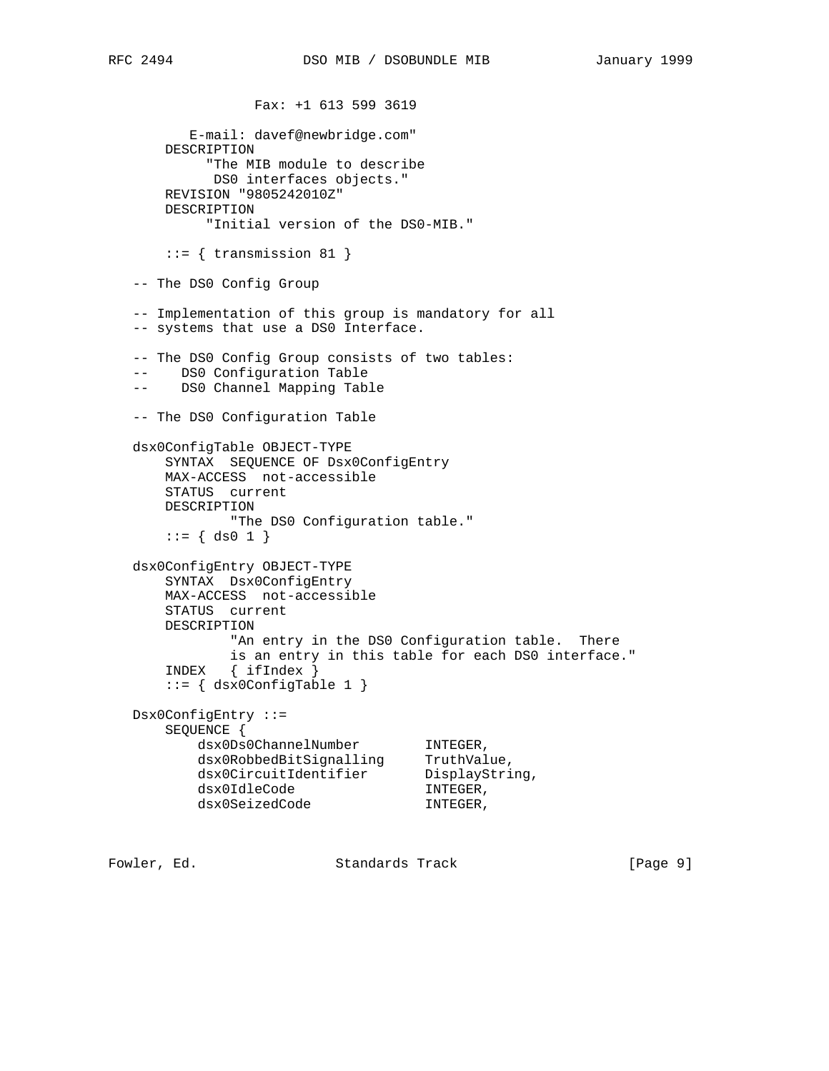Fax: +1 613 599 3619 E-mail: davef@newbridge.com" DESCRIPTION "The MIB module to describe DS0 interfaces objects." REVISION "9805242010Z" DESCRIPTION "Initial version of the DS0-MIB."  $::=$  { transmission 81 } -- The DS0 Config Group -- Implementation of this group is mandatory for all -- systems that use a DS0 Interface. -- The DS0 Config Group consists of two tables: -- DS0 Configuration Table -- DS0 Channel Mapping Table -- The DS0 Configuration Table dsx0ConfigTable OBJECT-TYPE SYNTAX SEQUENCE OF Dsx0ConfigEntry MAX-ACCESS not-accessible STATUS current DESCRIPTION "The DS0 Configuration table."  $::=$  { ds0 1 } dsx0ConfigEntry OBJECT-TYPE SYNTAX Dsx0ConfigEntry MAX-ACCESS not-accessible STATUS current DESCRIPTION "An entry in the DS0 Configuration table. There is an entry in this table for each DS0 interface." INDEX { ifIndex }  $::= \{ dsx0ConfigTable 1 \}$  Dsx0ConfigEntry ::= SEQUENCE { dsx0Ds0ChannelNumber INTEGER, dsx0RobbedBitSignalling TruthValue, dsx0CircuitIdentifier DisplayString, dsx0IdleCode INTEGER, dsx0IdleCode INTEGER,<br>dsx0SeizedCode INTEGER,

Fowler, Ed. Standards Track [Page 9]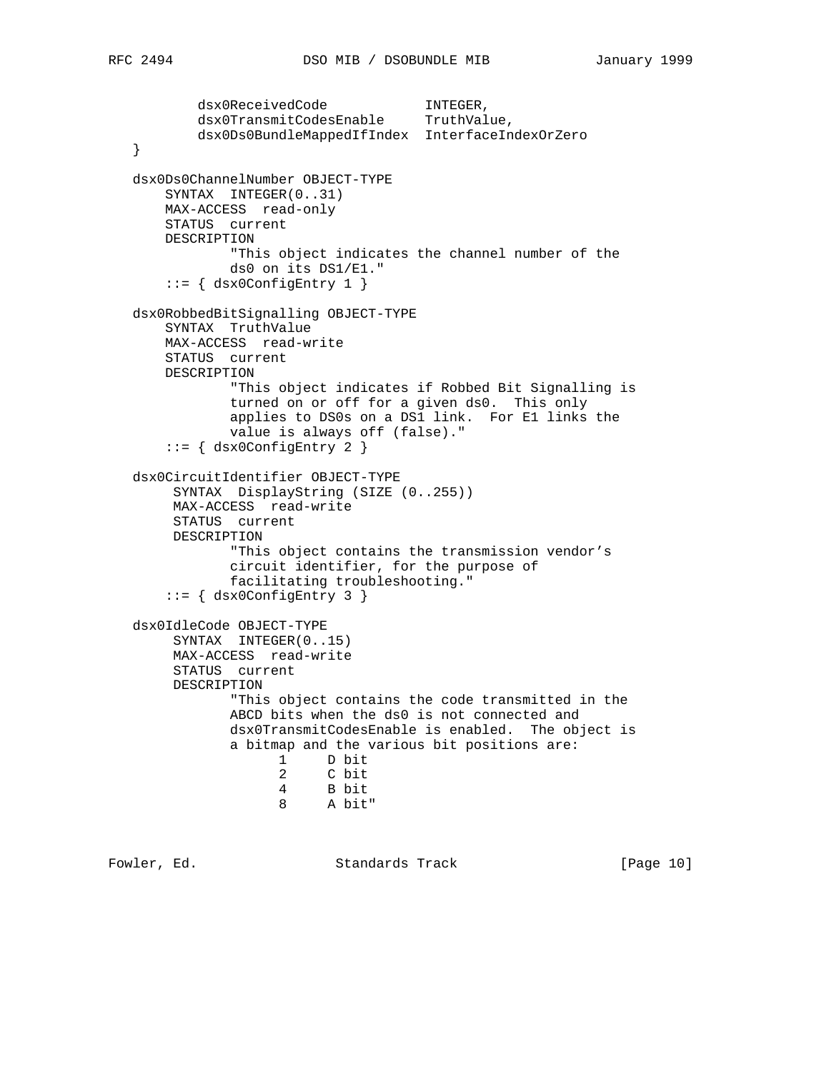```
 dsx0ReceivedCode INTEGER,
        dsx0TransmitCodesEnable TruthValue,
        dsx0Ds0BundleMappedIfIndex InterfaceIndexOrZero
 }
 dsx0Ds0ChannelNumber OBJECT-TYPE
    SYNTAX INTEGER(0..31)
    MAX-ACCESS read-only
    STATUS current
    DESCRIPTION
             "This object indicates the channel number of the
             ds0 on its DS1/E1."
    ::= { dsx0ConfigEntry 1 }
 dsx0RobbedBitSignalling OBJECT-TYPE
    SYNTAX TruthValue
    MAX-ACCESS read-write
    STATUS current
    DESCRIPTION
            "This object indicates if Robbed Bit Signalling is
            turned on or off for a given ds0. This only
            applies to DS0s on a DS1 link. For E1 links the
            value is always off (false)."
    ::= { dsx0ConfigEntry 2 }
 dsx0CircuitIdentifier OBJECT-TYPE
      SYNTAX DisplayString (SIZE (0..255))
     MAX-ACCESS read-write
     STATUS current
     DESCRIPTION
             "This object contains the transmission vendor's
             circuit identifier, for the purpose of
             facilitating troubleshooting."
    ::= \{ dsx0ConfigEntry 3 \} dsx0IdleCode OBJECT-TYPE
     SYNTAX INTEGER(0..15)
     MAX-ACCESS read-write
     STATUS current
     DESCRIPTION
             "This object contains the code transmitted in the
             ABCD bits when the ds0 is not connected and
             dsx0TransmitCodesEnable is enabled. The object is
             a bitmap and the various bit positions are:
                  1 D bit
                   2 C bit
                   4 B bit
                   8 A bit"
```
Fowler, Ed. Standards Track [Page 10]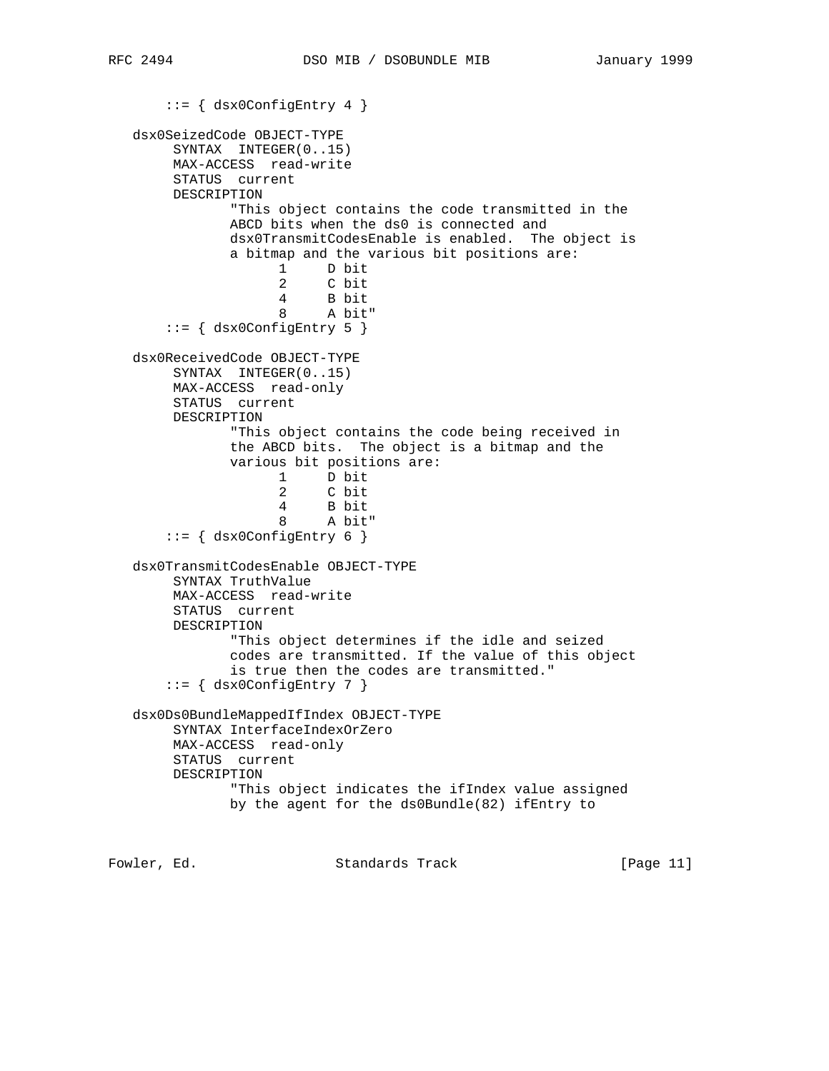```
::= { dsx0ConfigEntry 4 }
   dsx0SeizedCode OBJECT-TYPE
        SYNTAX INTEGER(0..15)
        MAX-ACCESS read-write
        STATUS current
        DESCRIPTION
               "This object contains the code transmitted in the
               ABCD bits when the ds0 is connected and
               dsx0TransmitCodesEnable is enabled. The object is
               a bitmap and the various bit positions are:
                     1 D bit
                     2 C bit
                     4 B bit
                     8 A bit"
        ::= { dsx0ConfigEntry 5 }
   dsx0ReceivedCode OBJECT-TYPE
        SYNTAX INTEGER(0..15)
        MAX-ACCESS read-only
        STATUS current
        DESCRIPTION
               "This object contains the code being received in
               the ABCD bits. The object is a bitmap and the
               various bit positions are:
                     1 D bit
                     2 C bit
                     4 B bit
                        A bit"
       ::= { dsx0ConfigEntry 6 }
   dsx0TransmitCodesEnable OBJECT-TYPE
        SYNTAX TruthValue
        MAX-ACCESS read-write
        STATUS current
        DESCRIPTION
               "This object determines if the idle and seized
               codes are transmitted. If the value of this object
               is true then the codes are transmitted."
       ::= \{ dsx0ConfigEntry 7 \} dsx0Ds0BundleMappedIfIndex OBJECT-TYPE
        SYNTAX InterfaceIndexOrZero
        MAX-ACCESS read-only
        STATUS current
        DESCRIPTION
               "This object indicates the ifIndex value assigned
               by the agent for the ds0Bundle(82) ifEntry to
Fowler, Ed. Standards Track [Page 11]
```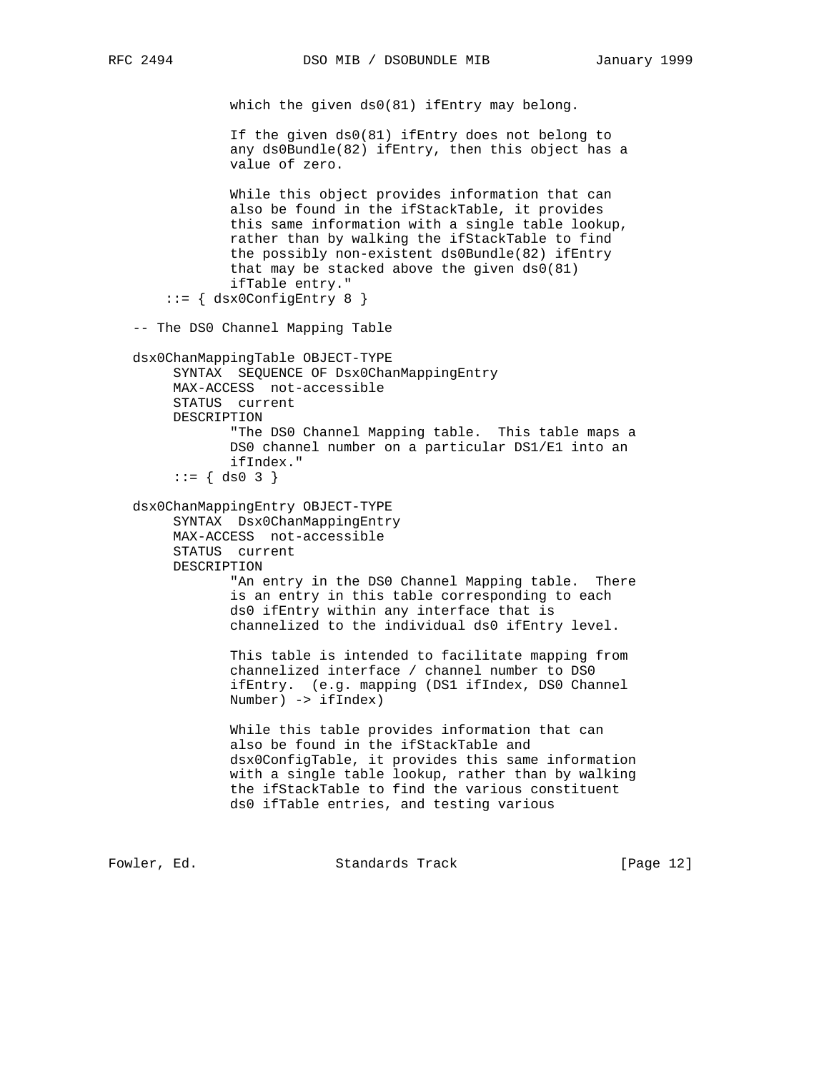```
which the given ds0(81) ifEntry may belong.
                If the given ds0(81) ifEntry does not belong to
                any ds0Bundle(82) ifEntry, then this object has a
                value of zero.
                While this object provides information that can
                also be found in the ifStackTable, it provides
                this same information with a single table lookup,
               rather than by walking the ifStackTable to find
                the possibly non-existent ds0Bundle(82) ifEntry
                that may be stacked above the given ds0(81)
                ifTable entry."
       ::= { dsx0ConfigEntry 8 }
    -- The DS0 Channel Mapping Table
   dsx0ChanMappingTable OBJECT-TYPE
        SYNTAX SEQUENCE OF Dsx0ChanMappingEntry
        MAX-ACCESS not-accessible
        STATUS current
        DESCRIPTION
                "The DS0 Channel Mapping table. This table maps a
               DS0 channel number on a particular DS1/E1 into an
               ifIndex."
        ::= \{ ds0 3 \} dsx0ChanMappingEntry OBJECT-TYPE
         SYNTAX Dsx0ChanMappingEntry
        MAX-ACCESS not-accessible
        STATUS current
        DESCRIPTION
                "An entry in the DS0 Channel Mapping table. There
                is an entry in this table corresponding to each
                ds0 ifEntry within any interface that is
                channelized to the individual ds0 ifEntry level.
                This table is intended to facilitate mapping from
                channelized interface / channel number to DS0
                ifEntry. (e.g. mapping (DS1 ifIndex, DS0 Channel
               Number) -> ifIndex)
                While this table provides information that can
                also be found in the ifStackTable and
                dsx0ConfigTable, it provides this same information
                with a single table lookup, rather than by walking
                the ifStackTable to find the various constituent
                ds0 ifTable entries, and testing various
Fowler, Ed. Standards Track [Page 12]
```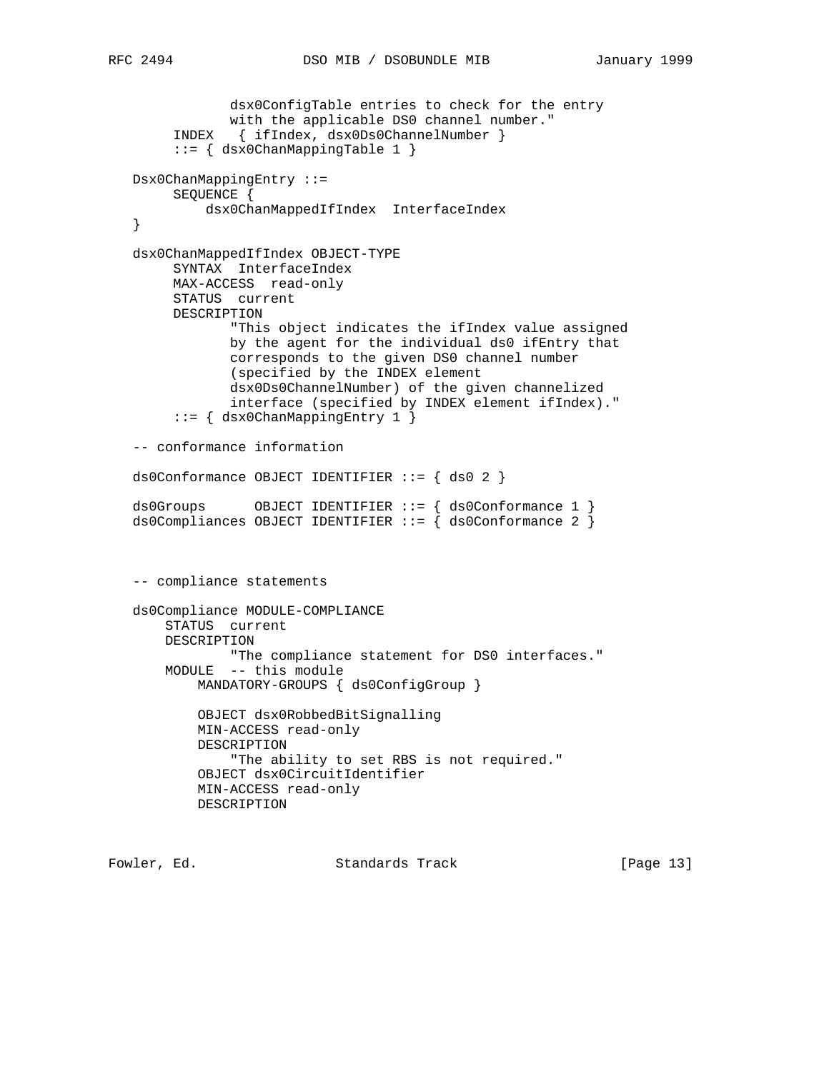```
 dsx0ConfigTable entries to check for the entry
             with the applicable DS0 channel number."
      INDEX { ifIndex, dsx0Ds0ChannelNumber }
      ::= { dsx0ChanMappingTable 1 }
 Dsx0ChanMappingEntry ::=
      SEQUENCE {
          dsx0ChanMappedIfIndex InterfaceIndex
 }
 dsx0ChanMappedIfIndex OBJECT-TYPE
      SYNTAX InterfaceIndex
      MAX-ACCESS read-only
      STATUS current
      DESCRIPTION
             "This object indicates the ifIndex value assigned
             by the agent for the individual ds0 ifEntry that
             corresponds to the given DS0 channel number
             (specified by the INDEX element
             dsx0Ds0ChannelNumber) of the given channelized
             interface (specified by INDEX element ifIndex)."
      ::= { dsx0ChanMappingEntry 1 }
 -- conformance information
 ds0Conformance OBJECT IDENTIFIER ::= { ds0 2 }
 ds0Groups OBJECT IDENTIFIER ::= { ds0Conformance 1 }
 ds0Compliances OBJECT IDENTIFIER ::= { ds0Conformance 2 }
 -- compliance statements
 ds0Compliance MODULE-COMPLIANCE
     STATUS current
     DESCRIPTION
            "The compliance statement for DS0 interfaces."
     MODULE -- this module
         MANDATORY-GROUPS { ds0ConfigGroup }
         OBJECT dsx0RobbedBitSignalling
         MIN-ACCESS read-only
         DESCRIPTION
             "The ability to set RBS is not required."
         OBJECT dsx0CircuitIdentifier
         MIN-ACCESS read-only
         DESCRIPTION
```
Fowler, Ed. Standards Track [Page 13]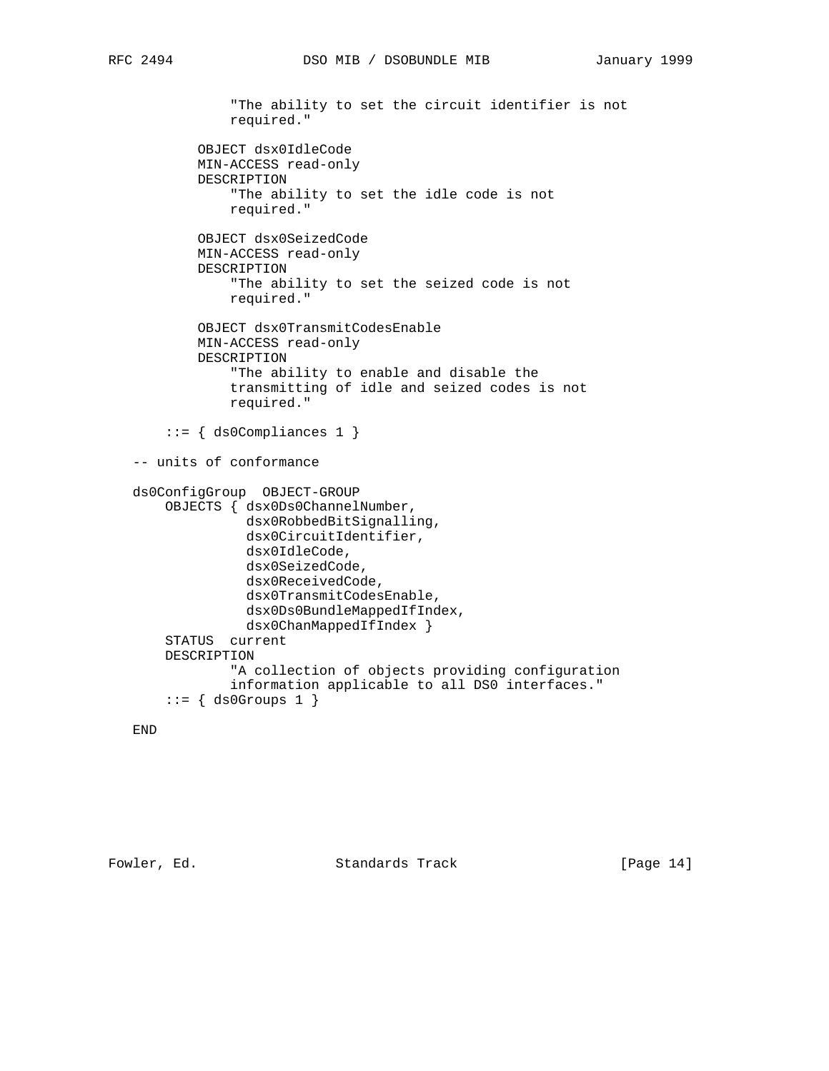```
 "The ability to set the circuit identifier is not
             required."
         OBJECT dsx0IdleCode
         MIN-ACCESS read-only
         DESCRIPTION
             "The ability to set the idle code is not
             required."
         OBJECT dsx0SeizedCode
         MIN-ACCESS read-only
         DESCRIPTION
             "The ability to set the seized code is not
             required."
         OBJECT dsx0TransmitCodesEnable
         MIN-ACCESS read-only
         DESCRIPTION
             "The ability to enable and disable the
             transmitting of idle and seized codes is not
             required."
     ::= { ds0Compliances 1 }
 -- units of conformance
 ds0ConfigGroup OBJECT-GROUP
     OBJECTS { dsx0Ds0ChannelNumber,
               dsx0RobbedBitSignalling,
               dsx0CircuitIdentifier,
               dsx0IdleCode,
               dsx0SeizedCode,
               dsx0ReceivedCode,
               dsx0TransmitCodesEnable,
               dsx0Ds0BundleMappedIfIndex,
               dsx0ChanMappedIfIndex }
     STATUS current
     DESCRIPTION
             "A collection of objects providing configuration
             information applicable to all DS0 interfaces."
    ::= \{ ds0Groups 1 \}
```
# END

Fowler, Ed. Standards Track [Page 14]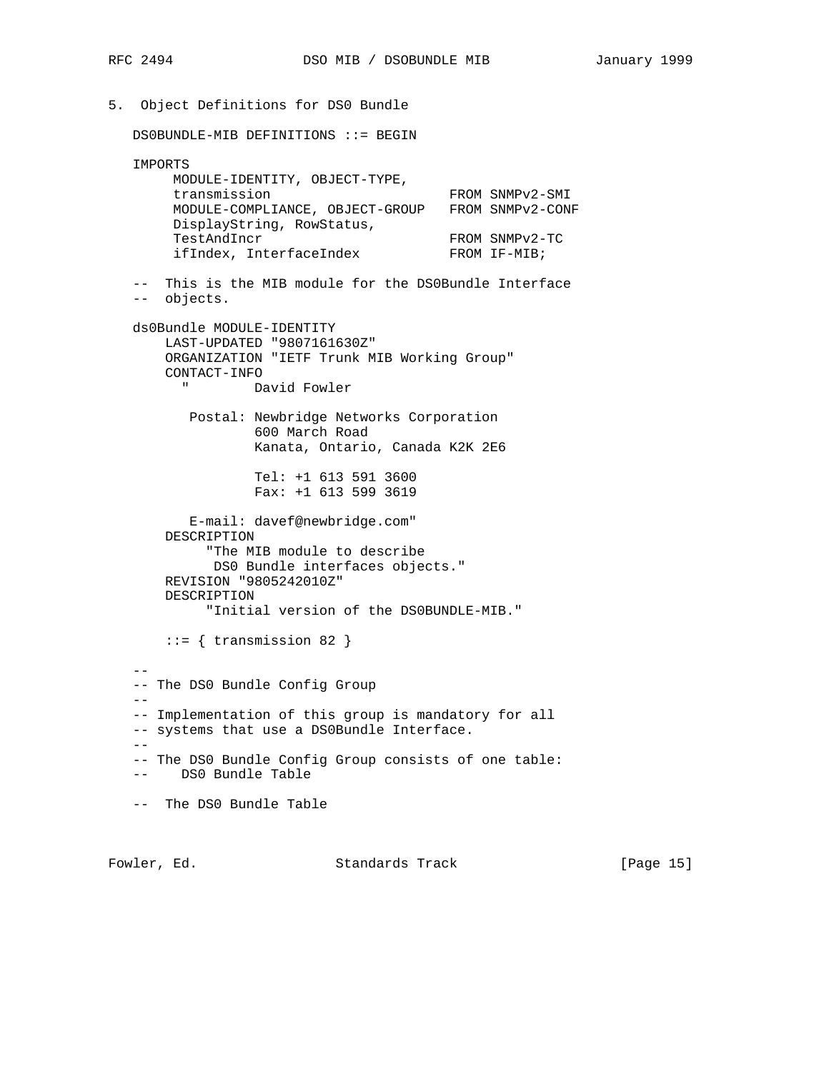5. Object Definitions for DS0 Bundle DS0BUNDLE-MIB DEFINITIONS ::= BEGIN IMPORTS MODULE-IDENTITY, OBJECT-TYPE, transmission FROM SNMPv2-SMI MODULE-COMPLIANCE, OBJECT-GROUP FROM SNMPv2-CONF DisplayString, RowStatus, TestAndIncr FROM SNMPv2-TC ifIndex, InterfaceIndex FROM IF-MIB; -- This is the MIB module for the DS0Bundle Interface -- objects. ds0Bundle MODULE-IDENTITY LAST-UPDATED "9807161630Z" ORGANIZATION "IETF Trunk MIB Working Group" CONTACT-INFO " David Fowler Postal: Newbridge Networks Corporation 600 March Road Kanata, Ontario, Canada K2K 2E6 Tel: +1 613 591 3600 Fax: +1 613 599 3619 E-mail: davef@newbridge.com" DESCRIPTION "The MIB module to describe DS0 Bundle interfaces objects." REVISION "9805242010Z" DESCRIPTION "Initial version of the DS0BUNDLE-MIB." ::= { transmission 82 }  $-$  -- The DS0 Bundle Config Group  $--$  -- Implementation of this group is mandatory for all -- systems that use a DS0Bundle Interface.  $-\,-$  -- The DS0 Bundle Config Group consists of one table: -- DS0 Bundle Table -- The DS0 Bundle Table

Fowler, Ed. Standards Track [Page 15]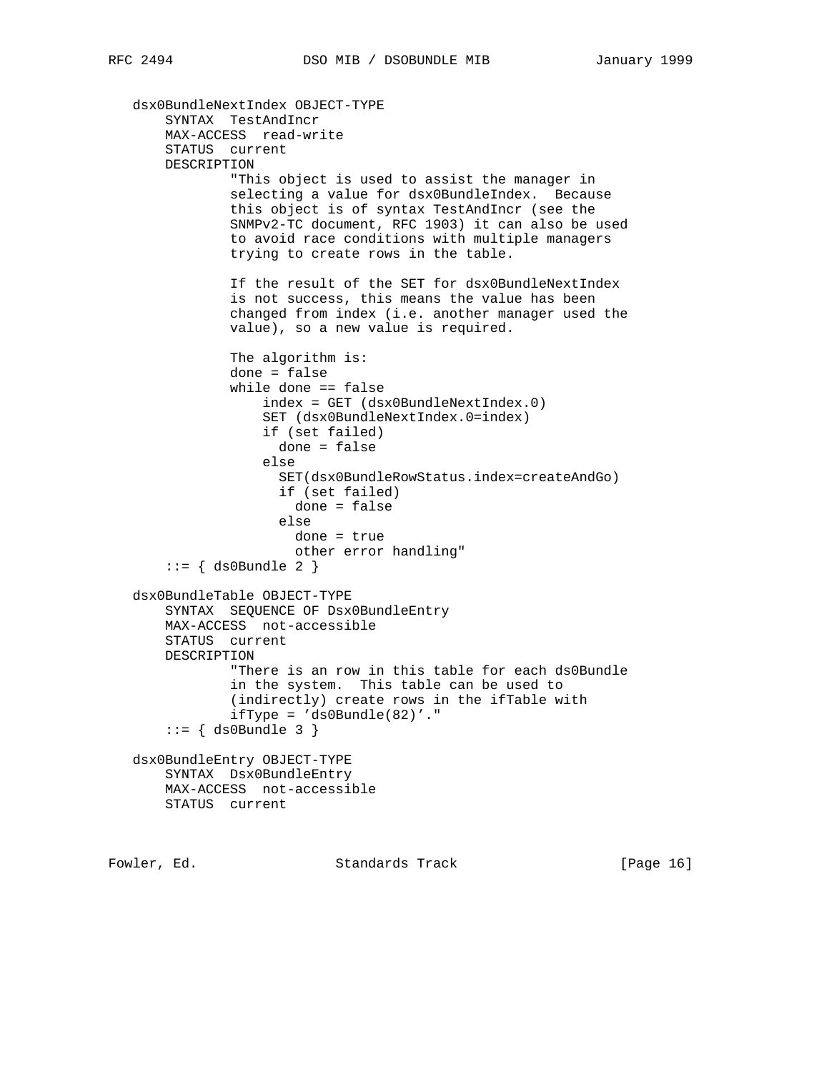```
 dsx0BundleNextIndex OBJECT-TYPE
     SYNTAX TestAndIncr
    MAX-ACCESS read-write
     STATUS current
    DESCRIPTION
             "This object is used to assist the manager in
             selecting a value for dsx0BundleIndex. Because
             this object is of syntax TestAndIncr (see the
             SNMPv2-TC document, RFC 1903) it can also be used
             to avoid race conditions with multiple managers
             trying to create rows in the table.
             If the result of the SET for dsx0BundleNextIndex
             is not success, this means the value has been
             changed from index (i.e. another manager used the
             value), so a new value is required.
             The algorithm is:
             done = false
             while done == false
                 index = GET (dsx0BundleNextIndex.0)
                 SET (dsx0BundleNextIndex.0=index)
                 if (set failed)
                   done = false
                 else
                   SET(dsx0BundleRowStatus.index=createAndGo)
                   if (set failed)
                     done = false
                   else
                    done = true
                     other error handling"
    ::= { ds0Bundle 2 }
 dsx0BundleTable OBJECT-TYPE
    SYNTAX SEQUENCE OF Dsx0BundleEntry
    MAX-ACCESS not-accessible
    STATUS current
    DESCRIPTION
             "There is an row in this table for each ds0Bundle
             in the system. This table can be used to
             (indirectly) create rows in the ifTable with
            ifType = 'ds0Bundle(82)'.
    ::= \{ ds0Bundle 3 \} dsx0BundleEntry OBJECT-TYPE
    SYNTAX Dsx0BundleEntry
    MAX-ACCESS not-accessible
    STATUS current
```
Fowler, Ed. Standards Track [Page 16]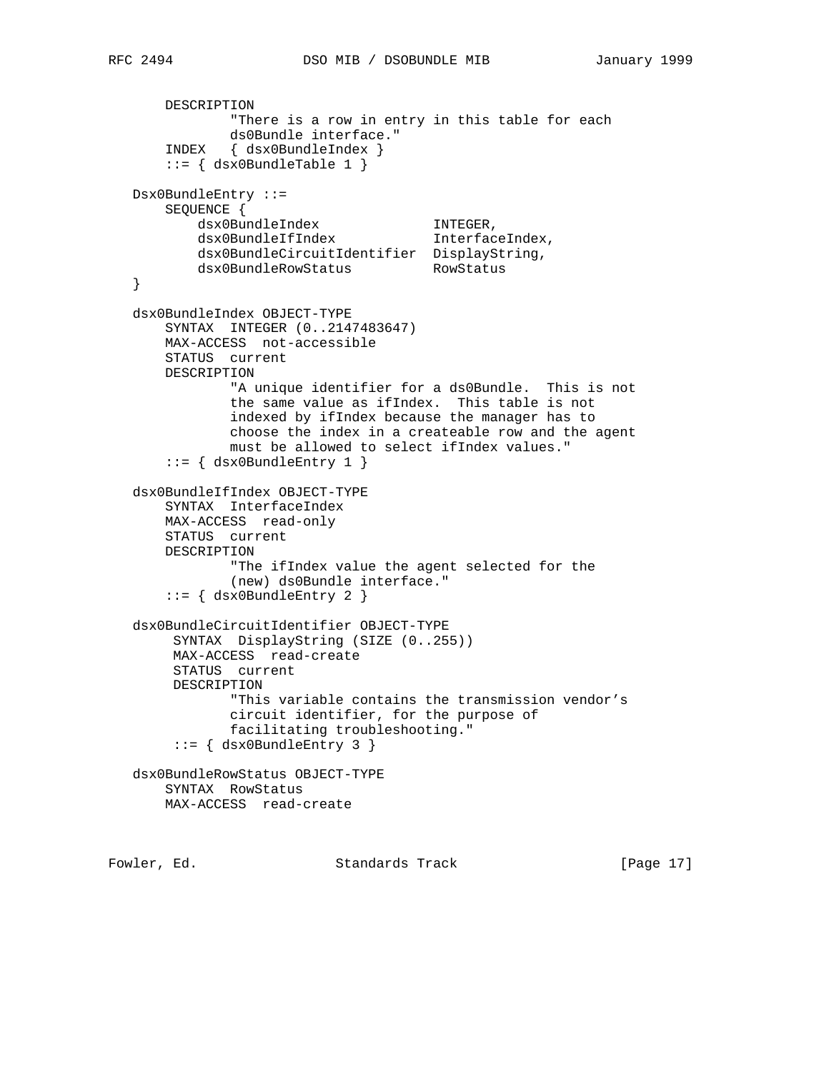```
 DESCRIPTION
               "There is a row in entry in this table for each
               ds0Bundle interface."
       INDEX { dsx0BundleIndex }
      ::= { dsx0BundleTable 1 }
   Dsx0BundleEntry ::=
       SEQUENCE {
 dsx0BundleIndex INTEGER,
 dsx0BundleIfIndex InterfaceIndex,
          dsx0BundleCircuitIdentifier DisplayString,<br>dsx0BundleRowStatus RowStatus
          dsx0BundleRowStatus
   }
   dsx0BundleIndex OBJECT-TYPE
       SYNTAX INTEGER (0..2147483647)
       MAX-ACCESS not-accessible
       STATUS current
       DESCRIPTION
               "A unique identifier for a ds0Bundle. This is not
               the same value as ifIndex. This table is not
               indexed by ifIndex because the manager has to
               choose the index in a createable row and the agent
               must be allowed to select ifIndex values."
        ::= { dsx0BundleEntry 1 }
   dsx0BundleIfIndex OBJECT-TYPE
       SYNTAX InterfaceIndex
       MAX-ACCESS read-only
       STATUS current
       DESCRIPTION
               "The ifIndex value the agent selected for the
               (new) ds0Bundle interface."
       ::= { dsx0BundleEntry 2 }
   dsx0BundleCircuitIdentifier OBJECT-TYPE
        SYNTAX DisplayString (SIZE (0..255))
        MAX-ACCESS read-create
        STATUS current
        DESCRIPTION
               "This variable contains the transmission vendor's
               circuit identifier, for the purpose of
               facilitating troubleshooting."
        ::= { dsx0BundleEntry 3 }
   dsx0BundleRowStatus OBJECT-TYPE
       SYNTAX RowStatus
       MAX-ACCESS read-create
```
Fowler, Ed. Standards Track [Page 17]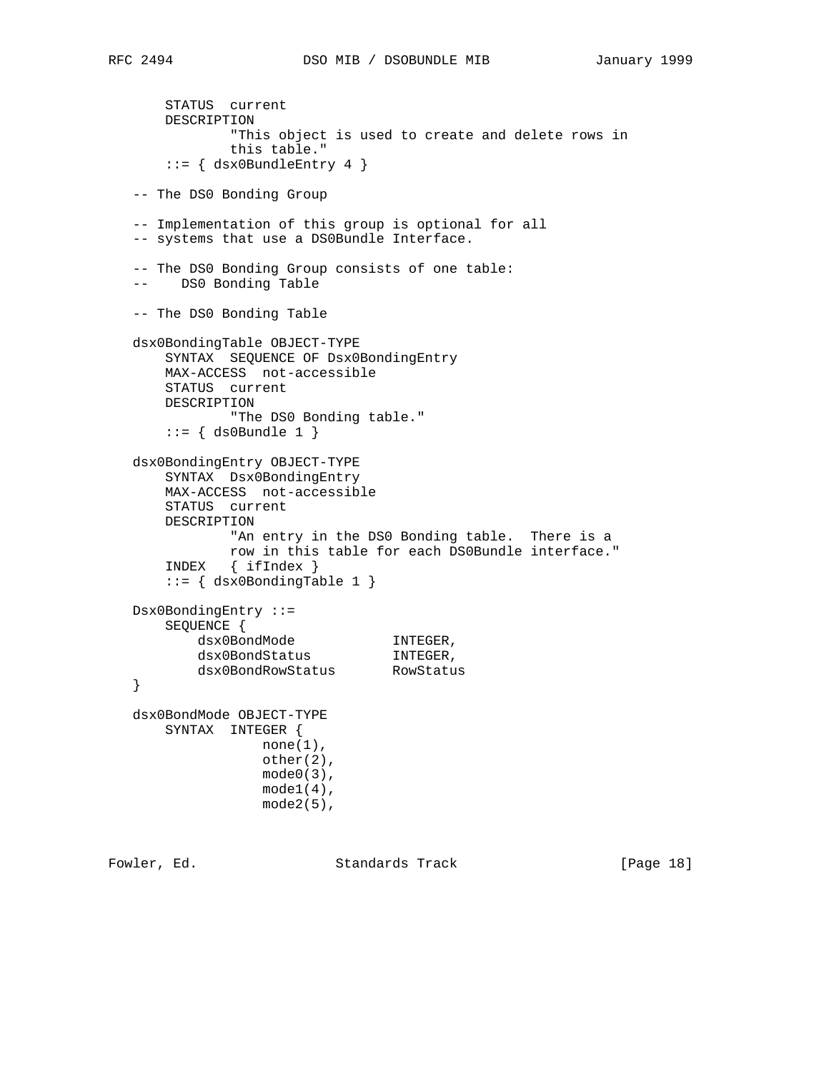```
 STATUS current
       DESCRIPTION
               "This object is used to create and delete rows in
               this table."
      ::= { dsx0BundleEntry 4 }
   -- The DS0 Bonding Group
   -- Implementation of this group is optional for all
   -- systems that use a DS0Bundle Interface.
   -- The DS0 Bonding Group consists of one table:
   -- DS0 Bonding Table
   -- The DS0 Bonding Table
   dsx0BondingTable OBJECT-TYPE
       SYNTAX SEQUENCE OF Dsx0BondingEntry
       MAX-ACCESS not-accessible
       STATUS current
       DESCRIPTION
              "The DS0 Bonding table."
      ::= { ds0Bundle 1 }
   dsx0BondingEntry OBJECT-TYPE
       SYNTAX Dsx0BondingEntry
       MAX-ACCESS not-accessible
       STATUS current
       DESCRIPTION
               "An entry in the DS0 Bonding table. There is a
              row in this table for each DS0Bundle interface."
       INDEX { ifIndex }
       ::= { dsx0BondingTable 1 }
   Dsx0BondingEntry ::=
       SEQUENCE {
dsx0BondMode NTEGER,
dsx0BondStatus INTEGER,
 dsx0BondRowStatus RowStatus
   }
   dsx0BondMode OBJECT-TYPE
       SYNTAX INTEGER {
                 none(1),
                   other(2),
                  mode0(3),
                 model(4),
                   mode2(5),
```
Fowler, Ed. Standards Track [Page 18]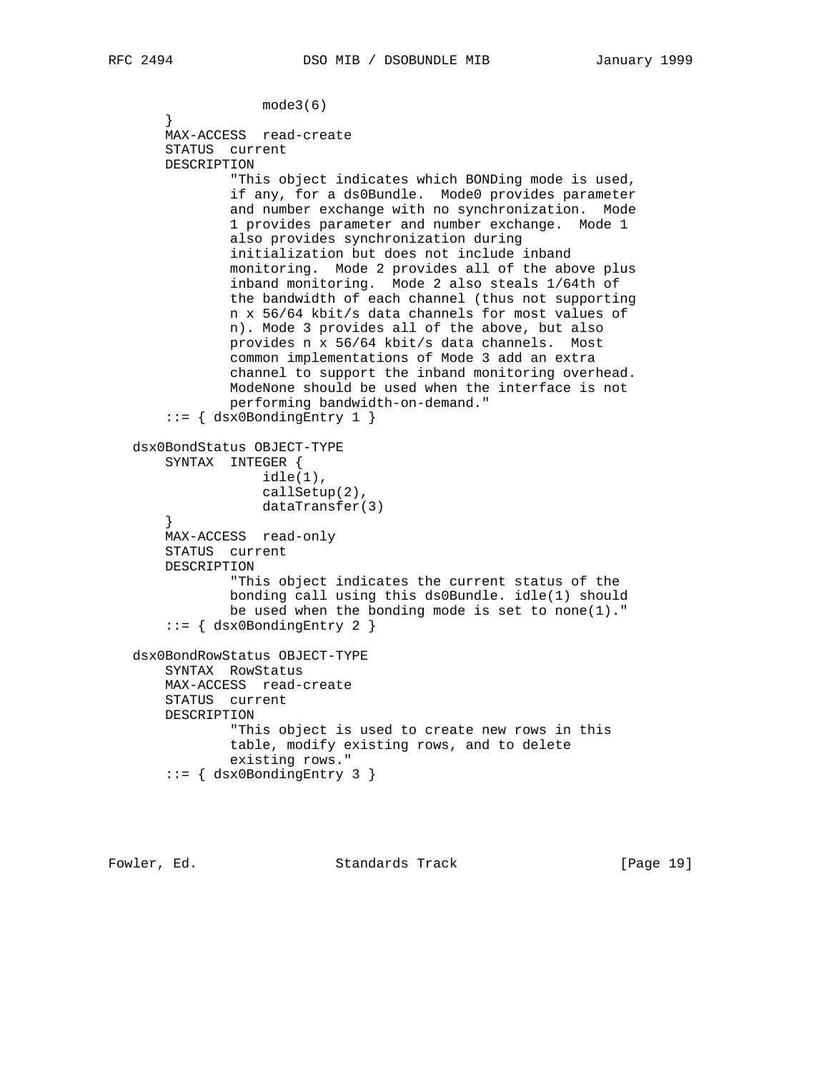```
 mode3(6)
 }
       MAX-ACCESS read-create
       STATUS current
       DESCRIPTION
                "This object indicates which BONDing mode is used,
                if any, for a ds0Bundle. Mode0 provides parameter
                and number exchange with no synchronization. Mode
                1 provides parameter and number exchange. Mode 1
                also provides synchronization during
                initialization but does not include inband
               monitoring. Mode 2 provides all of the above plus
                inband monitoring. Mode 2 also steals 1/64th of
                the bandwidth of each channel (thus not supporting
               n x 56/64 kbit/s data channels for most values of
               n). Mode 3 provides all of the above, but also
               provides n x 56/64 kbit/s data channels. Most
                common implementations of Mode 3 add an extra
                channel to support the inband monitoring overhead.
               ModeNone should be used when the interface is not
               performing bandwidth-on-demand."
        ::= { dsx0BondingEntry 1 }
   dsx0BondStatus OBJECT-TYPE
       SYNTAX INTEGER {
                    idle(1),
                    callSetup(2),
                   dataTransfer(3)
 }
       MAX-ACCESS read-only
       STATUS current
       DESCRIPTION
                "This object indicates the current status of the
               bonding call using this ds0Bundle. idle(1) should
               be used when the bonding mode is set to none(1)."
        ::= { dsx0BondingEntry 2 }
   dsx0BondRowStatus OBJECT-TYPE
       SYNTAX RowStatus
       MAX-ACCESS read-create
       STATUS current
       DESCRIPTION
                "This object is used to create new rows in this
                table, modify existing rows, and to delete
               existing rows."
        ::= { dsx0BondingEntry 3 }
```
Fowler, Ed. Standards Track [Page 19]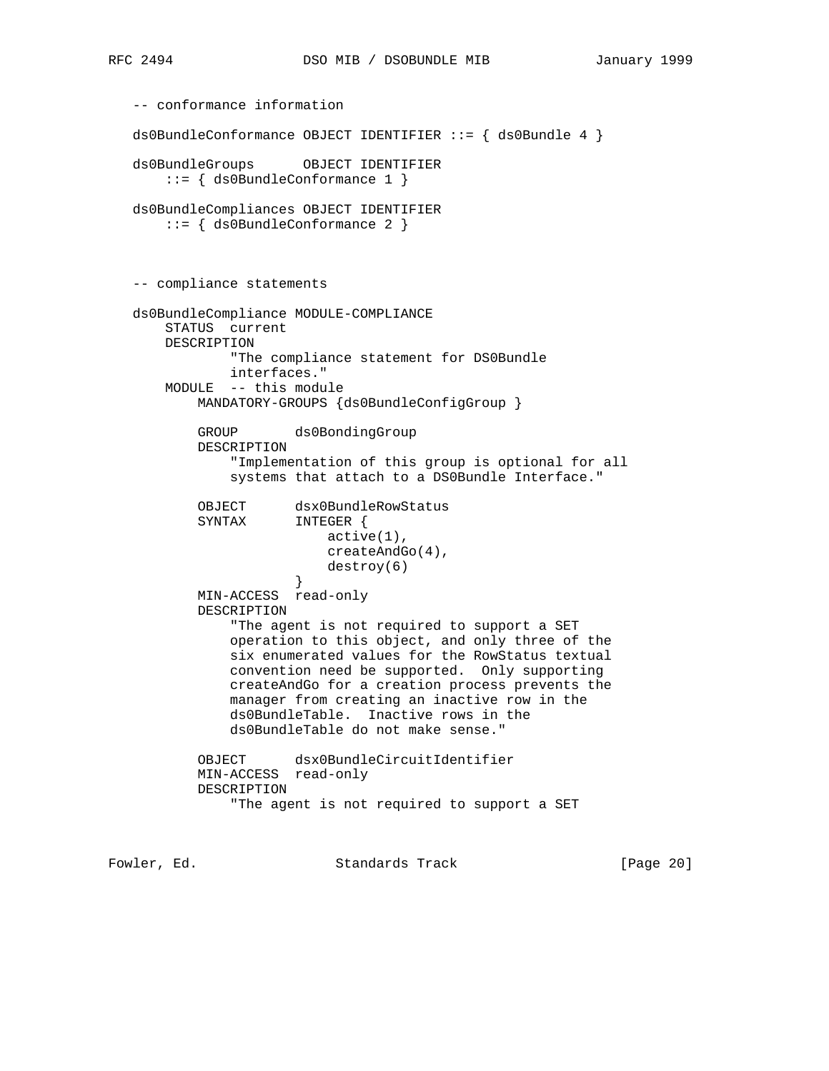```
 -- conformance information
   ds0BundleConformance OBJECT IDENTIFIER ::= { ds0Bundle 4 }
   ds0BundleGroups OBJECT IDENTIFIER
       ::= { ds0BundleConformance 1 }
   ds0BundleCompliances OBJECT IDENTIFIER
       ::= { ds0BundleConformance 2 }
   -- compliance statements
   ds0BundleCompliance MODULE-COMPLIANCE
       STATUS current
       DESCRIPTION
               "The compliance statement for DS0Bundle
               interfaces."
       MODULE -- this module
           MANDATORY-GROUPS {ds0BundleConfigGroup }
           GROUP ds0BondingGroup
           DESCRIPTION
                "Implementation of this group is optional for all
               systems that attach to a DS0Bundle Interface."
          OBJECT dsx0BundleRowStatus<br>SYNTAX INTEGER {
                     INTEGER {
                           active(1),
                           createAndGo(4),
                       destroy(6)<br>}
 }
           MIN-ACCESS read-only
           DESCRIPTION
                "The agent is not required to support a SET
               operation to this object, and only three of the
               six enumerated values for the RowStatus textual
               convention need be supported. Only supporting
               createAndGo for a creation process prevents the
               manager from creating an inactive row in the
               ds0BundleTable. Inactive rows in the
               ds0BundleTable do not make sense."
           OBJECT dsx0BundleCircuitIdentifier
           MIN-ACCESS read-only
           DESCRIPTION
                "The agent is not required to support a SET
```
Fowler, Ed. Standards Track [Page 20]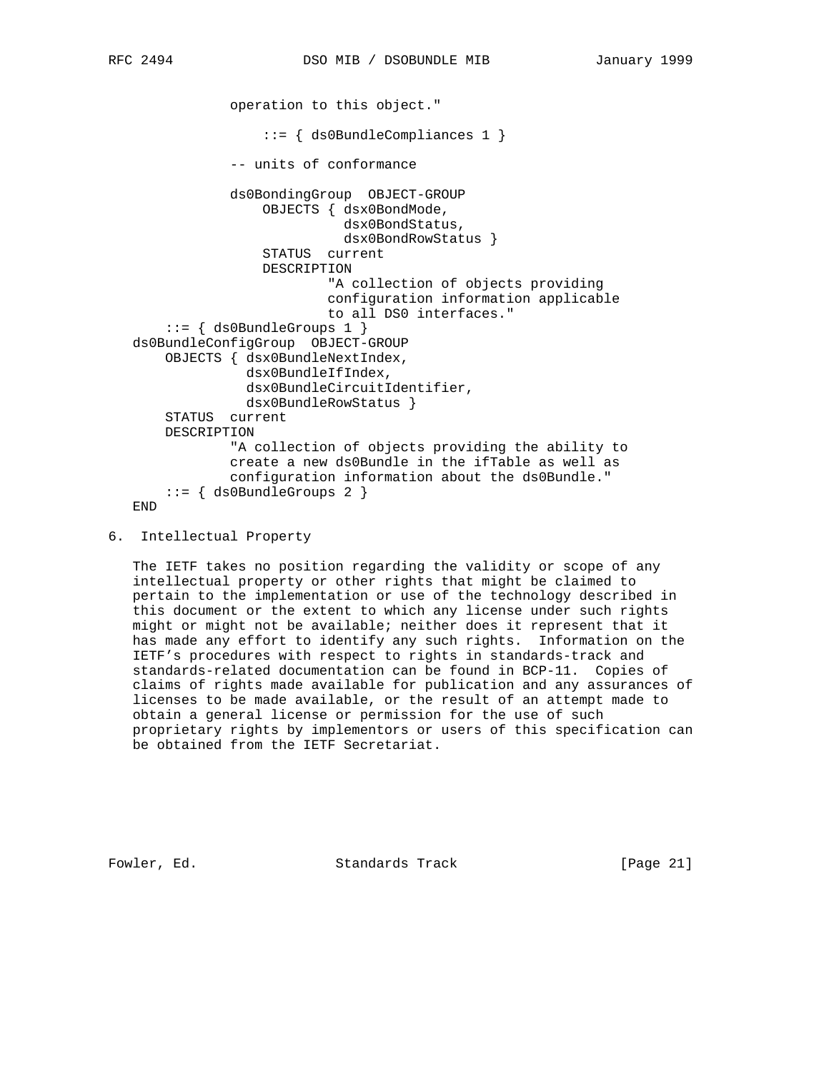```
 operation to this object."
                  ::= { ds0BundleCompliances 1 }
             -- units of conformance
             ds0BondingGroup OBJECT-GROUP
                 OBJECTS { dsx0BondMode,
                            dsx0BondStatus,
                            dsx0BondRowStatus }
                 STATUS current
                 DESCRIPTION
                          "A collection of objects providing
                          configuration information applicable
                          to all DS0 interfaces."
     ::= { ds0BundleGroups 1 }
 ds0BundleConfigGroup OBJECT-GROUP
     OBJECTS { dsx0BundleNextIndex,
               dsx0BundleIfIndex,
               dsx0BundleCircuitIdentifier,
               dsx0BundleRowStatus }
     STATUS current
     DESCRIPTION
             "A collection of objects providing the ability to
             create a new ds0Bundle in the ifTable as well as
             configuration information about the ds0Bundle."
    ::= { ds0BundleGroups 2 }
 END
```
 The IETF takes no position regarding the validity or scope of any intellectual property or other rights that might be claimed to pertain to the implementation or use of the technology described in this document or the extent to which any license under such rights might or might not be available; neither does it represent that it has made any effort to identify any such rights. Information on the IETF's procedures with respect to rights in standards-track and standards-related documentation can be found in BCP-11. Copies of claims of rights made available for publication and any assurances of licenses to be made available, or the result of an attempt made to obtain a general license or permission for the use of such proprietary rights by implementors or users of this specification can be obtained from the IETF Secretariat.

Fowler, Ed. Standards Track [Page 21]

<sup>6.</sup> Intellectual Property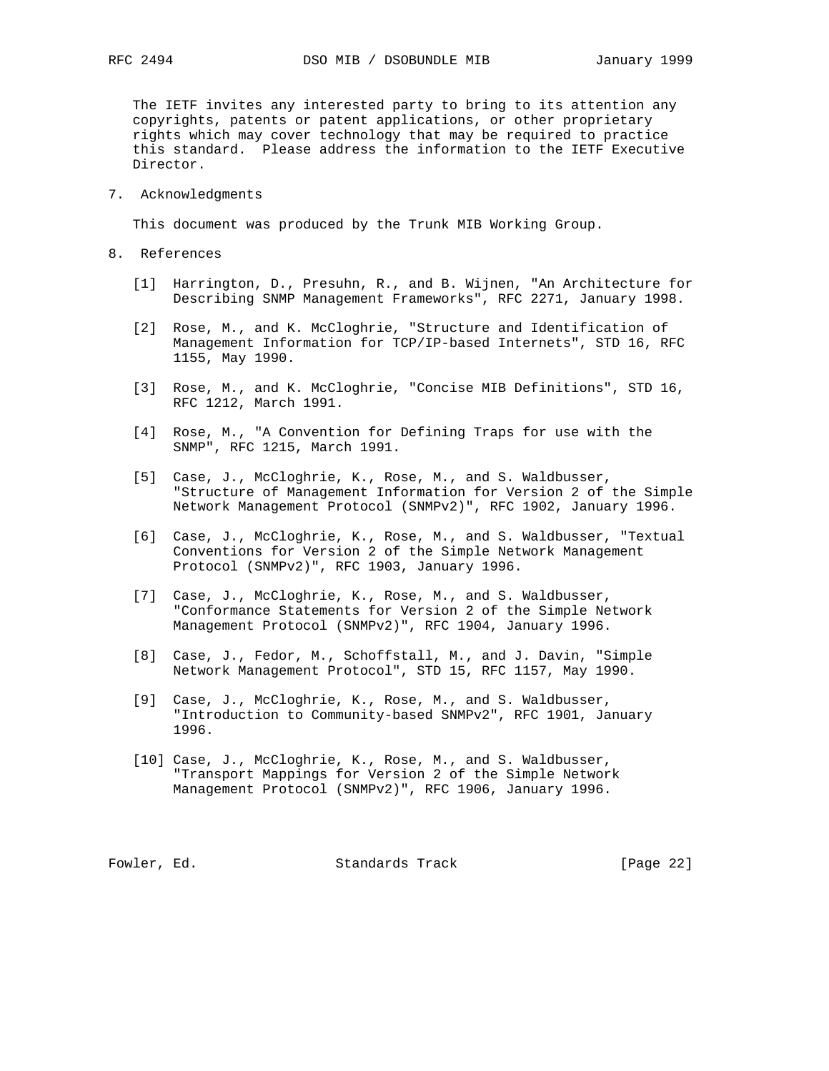The IETF invites any interested party to bring to its attention any copyrights, patents or patent applications, or other proprietary rights which may cover technology that may be required to practice this standard. Please address the information to the IETF Executive Director.

7. Acknowledgments

This document was produced by the Trunk MIB Working Group.

- 8. References
	- [1] Harrington, D., Presuhn, R., and B. Wijnen, "An Architecture for Describing SNMP Management Frameworks", RFC 2271, January 1998.
	- [2] Rose, M., and K. McCloghrie, "Structure and Identification of Management Information for TCP/IP-based Internets", STD 16, RFC 1155, May 1990.
	- [3] Rose, M., and K. McCloghrie, "Concise MIB Definitions", STD 16, RFC 1212, March 1991.
	- [4] Rose, M., "A Convention for Defining Traps for use with the SNMP", RFC 1215, March 1991.
	- [5] Case, J., McCloghrie, K., Rose, M., and S. Waldbusser, "Structure of Management Information for Version 2 of the Simple Network Management Protocol (SNMPv2)", RFC 1902, January 1996.
	- [6] Case, J., McCloghrie, K., Rose, M., and S. Waldbusser, "Textual Conventions for Version 2 of the Simple Network Management Protocol (SNMPv2)", RFC 1903, January 1996.
	- [7] Case, J., McCloghrie, K., Rose, M., and S. Waldbusser, "Conformance Statements for Version 2 of the Simple Network Management Protocol (SNMPv2)", RFC 1904, January 1996.
	- [8] Case, J., Fedor, M., Schoffstall, M., and J. Davin, "Simple Network Management Protocol", STD 15, RFC 1157, May 1990.
	- [9] Case, J., McCloghrie, K., Rose, M., and S. Waldbusser, "Introduction to Community-based SNMPv2", RFC 1901, January 1996.
	- [10] Case, J., McCloghrie, K., Rose, M., and S. Waldbusser, "Transport Mappings for Version 2 of the Simple Network Management Protocol (SNMPv2)", RFC 1906, January 1996.

Fowler, Ed. Standards Track [Page 22]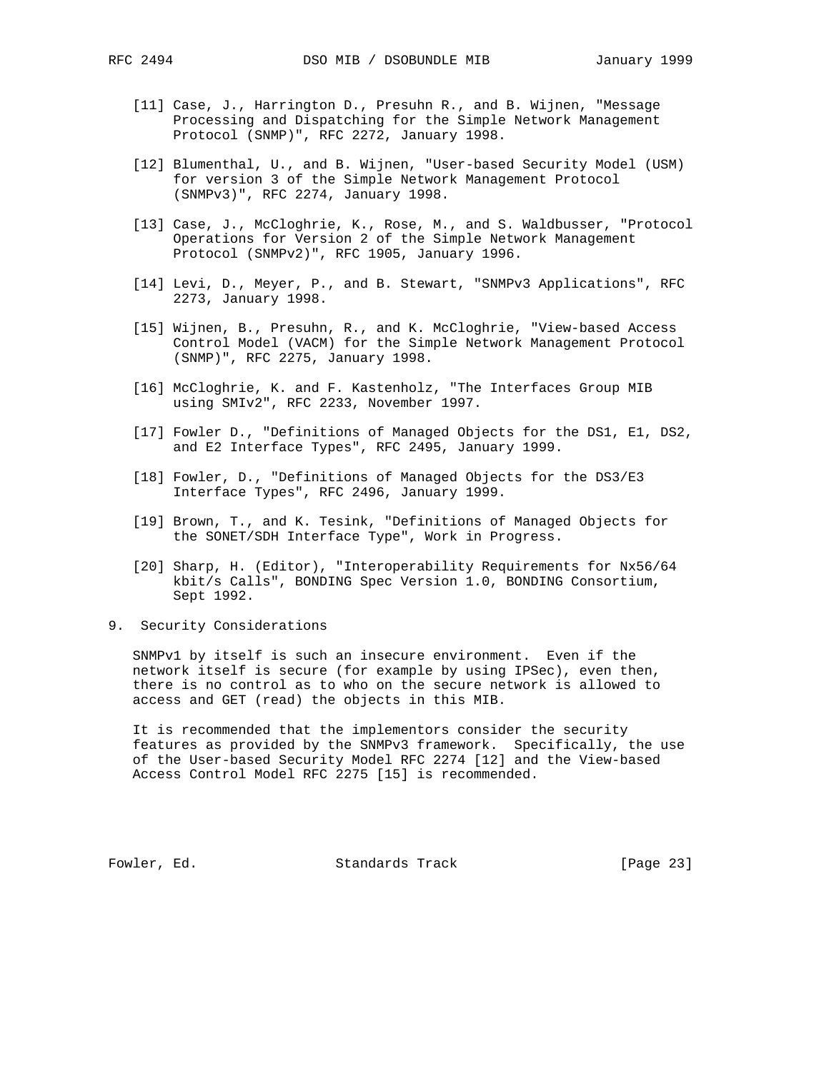- [11] Case, J., Harrington D., Presuhn R., and B. Wijnen, "Message Processing and Dispatching for the Simple Network Management Protocol (SNMP)", RFC 2272, January 1998.
- [12] Blumenthal, U., and B. Wijnen, "User-based Security Model (USM) for version 3 of the Simple Network Management Protocol (SNMPv3)", RFC 2274, January 1998.
- [13] Case, J., McCloghrie, K., Rose, M., and S. Waldbusser, "Protocol Operations for Version 2 of the Simple Network Management Protocol (SNMPv2)", RFC 1905, January 1996.
- [14] Levi, D., Meyer, P., and B. Stewart, "SNMPv3 Applications", RFC 2273, January 1998.
- [15] Wijnen, B., Presuhn, R., and K. McCloghrie, "View-based Access Control Model (VACM) for the Simple Network Management Protocol (SNMP)", RFC 2275, January 1998.
- [16] McCloghrie, K. and F. Kastenholz, "The Interfaces Group MIB using SMIv2", RFC 2233, November 1997.
- [17] Fowler D., "Definitions of Managed Objects for the DS1, E1, DS2, and E2 Interface Types", RFC 2495, January 1999.
- [18] Fowler, D., "Definitions of Managed Objects for the DS3/E3 Interface Types", RFC 2496, January 1999.
- [19] Brown, T., and K. Tesink, "Definitions of Managed Objects for the SONET/SDH Interface Type", Work in Progress.
- [20] Sharp, H. (Editor), "Interoperability Requirements for Nx56/64 kbit/s Calls", BONDING Spec Version 1.0, BONDING Consortium, Sept 1992.
- 9. Security Considerations

 SNMPv1 by itself is such an insecure environment. Even if the network itself is secure (for example by using IPSec), even then, there is no control as to who on the secure network is allowed to access and GET (read) the objects in this MIB.

 It is recommended that the implementors consider the security features as provided by the SNMPv3 framework. Specifically, the use of the User-based Security Model RFC 2274 [12] and the View-based Access Control Model RFC 2275 [15] is recommended.

Fowler, Ed. Standards Track [Page 23]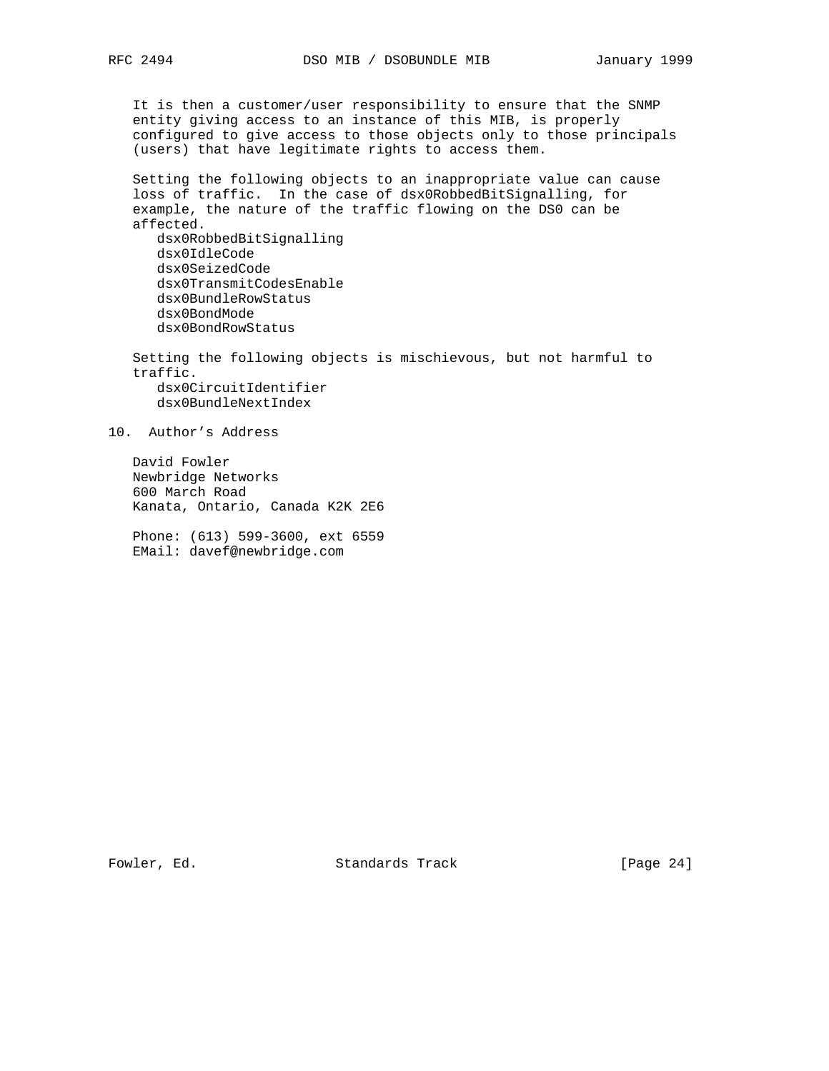It is then a customer/user responsibility to ensure that the SNMP entity giving access to an instance of this MIB, is properly configured to give access to those objects only to those principals (users) that have legitimate rights to access them.

 Setting the following objects to an inappropriate value can cause loss of traffic. In the case of dsx0RobbedBitSignalling, for example, the nature of the traffic flowing on the DS0 can be affected.

 dsx0RobbedBitSignalling dsx0IdleCode dsx0SeizedCode dsx0TransmitCodesEnable dsx0BundleRowStatus dsx0BondMode dsx0BondRowStatus

 Setting the following objects is mischievous, but not harmful to traffic. dsx0CircuitIdentifier dsx0BundleNextIndex

10. Author's Address

 David Fowler Newbridge Networks 600 March Road Kanata, Ontario, Canada K2K 2E6

 Phone: (613) 599-3600, ext 6559 EMail: davef@newbridge.com

Fowler, Ed. Standards Track [Page 24]